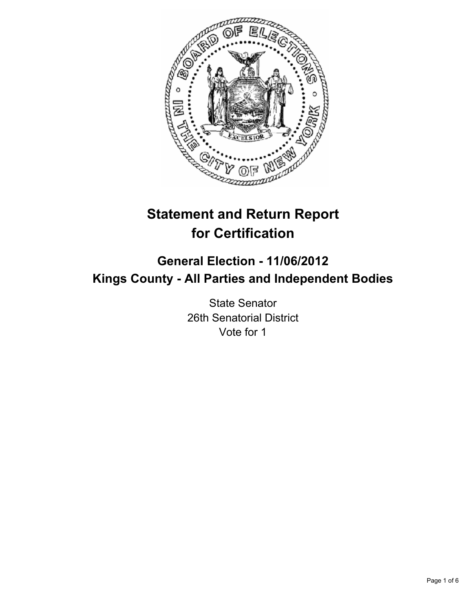

# **Statement and Return Report for Certification**

## **General Election - 11/06/2012 Kings County - All Parties and Independent Bodies**

State Senator 26th Senatorial District Vote for 1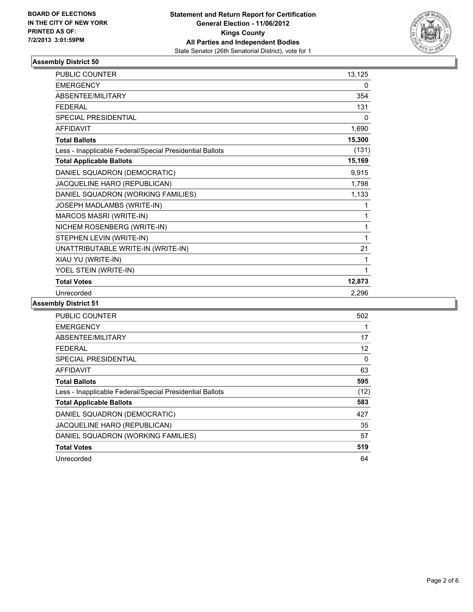

#### **Assembly District 50**

| <b>PUBLIC COUNTER</b>                                    | 13,125 |
|----------------------------------------------------------|--------|
| <b>EMERGENCY</b>                                         | 0      |
| ABSENTEE/MILITARY                                        | 354    |
| <b>FEDERAL</b>                                           | 131    |
| <b>SPECIAL PRESIDENTIAL</b>                              | 0      |
| <b>AFFIDAVIT</b>                                         | 1,690  |
| <b>Total Ballots</b>                                     | 15,300 |
| Less - Inapplicable Federal/Special Presidential Ballots | (131)  |
| <b>Total Applicable Ballots</b>                          | 15,169 |
| DANIEL SQUADRON (DEMOCRATIC)                             | 9,915  |
| JACQUELINE HARO (REPUBLICAN)                             | 1,798  |
| DANIEL SQUADRON (WORKING FAMILIES)                       | 1,133  |
| JOSEPH MADLAMBS (WRITE-IN)                               | 1      |
| MARCOS MASRI (WRITE-IN)                                  | 1      |
| NICHEM ROSENBERG (WRITE-IN)                              | 1      |
| STEPHEN LEVIN (WRITE-IN)                                 | 1      |
| UNATTRIBUTABLE WRITE-IN (WRITE-IN)                       | 21     |
| XIAU YU (WRITE-IN)                                       | 1      |
| YOEL STEIN (WRITE-IN)                                    | 1      |
| <b>Total Votes</b>                                       | 12,873 |
| Unrecorded                                               | 2,296  |

#### **Assembly District 51**

| PUBLIC COUNTER                                           | 502  |
|----------------------------------------------------------|------|
| <b>EMERGENCY</b>                                         | 1    |
| <b>ABSENTEE/MILITARY</b>                                 | 17   |
| FEDERAL                                                  | 12   |
| SPECIAL PRESIDENTIAL                                     | 0    |
| AFFIDAVIT                                                | 63   |
| <b>Total Ballots</b>                                     | 595  |
| Less - Inapplicable Federal/Special Presidential Ballots | (12) |
| <b>Total Applicable Ballots</b>                          | 583  |
| DANIEL SQUADRON (DEMOCRATIC)                             | 427  |
| JACQUELINE HARO (REPUBLICAN)                             | 35   |
| DANIEL SQUADRON (WORKING FAMILIES)                       | 57   |
| <b>Total Votes</b>                                       | 519  |
| Unrecorded                                               | 64   |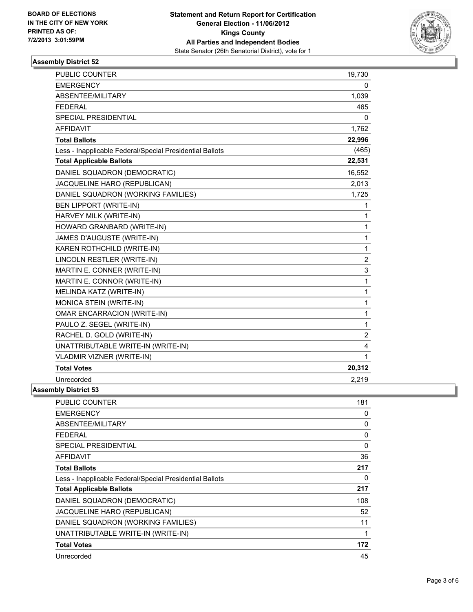

#### **Assembly District 52**

| <b>PUBLIC COUNTER</b>                                    | 19,730         |
|----------------------------------------------------------|----------------|
| <b>EMERGENCY</b>                                         | $\mathbf{0}$   |
| <b>ABSENTEE/MILITARY</b>                                 | 1,039          |
| <b>FEDERAL</b>                                           | 465            |
| SPECIAL PRESIDENTIAL                                     | $\Omega$       |
| AFFIDAVIT                                                | 1,762          |
| <b>Total Ballots</b>                                     | 22,996         |
| Less - Inapplicable Federal/Special Presidential Ballots | (465)          |
| <b>Total Applicable Ballots</b>                          | 22,531         |
| DANIEL SQUADRON (DEMOCRATIC)                             | 16,552         |
| JACQUELINE HARO (REPUBLICAN)                             | 2,013          |
| DANIEL SQUADRON (WORKING FAMILIES)                       | 1,725          |
| <b>BEN LIPPORT (WRITE-IN)</b>                            | 1              |
| HARVEY MILK (WRITE-IN)                                   | 1              |
| HOWARD GRANBARD (WRITE-IN)                               | 1              |
| JAMES D'AUGUSTE (WRITE-IN)                               | $\mathbf{1}$   |
| KAREN ROTHCHILD (WRITE-IN)                               | 1              |
| LINCOLN RESTLER (WRITE-IN)                               | $\overline{2}$ |
| MARTIN E. CONNER (WRITE-IN)                              | 3              |
| MARTIN E. CONNOR (WRITE-IN)                              | 1              |
| MELINDA KATZ (WRITE-IN)                                  | $\mathbf{1}$   |
| MONICA STEIN (WRITE-IN)                                  | 1              |
| <b>OMAR ENCARRACION (WRITE-IN)</b>                       | 1              |
| PAULO Z. SEGEL (WRITE-IN)                                | 1              |
| RACHEL D. GOLD (WRITE-IN)                                | $\overline{c}$ |
| UNATTRIBUTABLE WRITE-IN (WRITE-IN)                       | 4              |
| <b>VLADMIR VIZNER (WRITE-IN)</b>                         | 1              |
| <b>Total Votes</b>                                       | 20,312         |
| Unrecorded                                               | 2,219          |
| <b>Assembly District 53</b>                              |                |
| DUDLIC COUNTED                                           | 101            |

| <b>PUBLIC COUNTER</b>                                    | 181 |
|----------------------------------------------------------|-----|
| <b>EMERGENCY</b>                                         | 0   |
| ABSENTEE/MILITARY                                        | 0   |
| <b>FEDERAL</b>                                           | 0   |
| <b>SPECIAL PRESIDENTIAL</b>                              | 0   |
| AFFIDAVIT                                                | 36  |
| <b>Total Ballots</b>                                     | 217 |
| Less - Inapplicable Federal/Special Presidential Ballots | 0   |
| <b>Total Applicable Ballots</b>                          | 217 |
| DANIEL SQUADRON (DEMOCRATIC)                             | 108 |
| JACQUELINE HARO (REPUBLICAN)                             | 52  |
| DANIEL SQUADRON (WORKING FAMILIES)                       | 11  |
| UNATTRIBUTABLE WRITE-IN (WRITE-IN)                       | 1   |
| <b>Total Votes</b>                                       | 172 |
| Unrecorded                                               | 45  |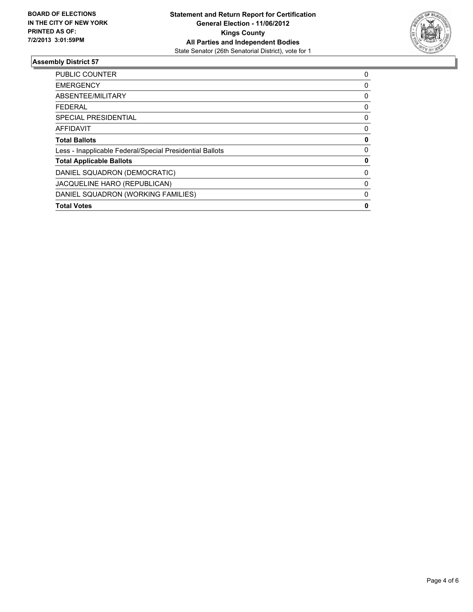

#### **Assembly District 57**

| 0 |
|---|
| 0 |
| 0 |
| 0 |
| 0 |
| 0 |
| 0 |
| 0 |
| 0 |
| 0 |
| 0 |
| 0 |
| 0 |
|   |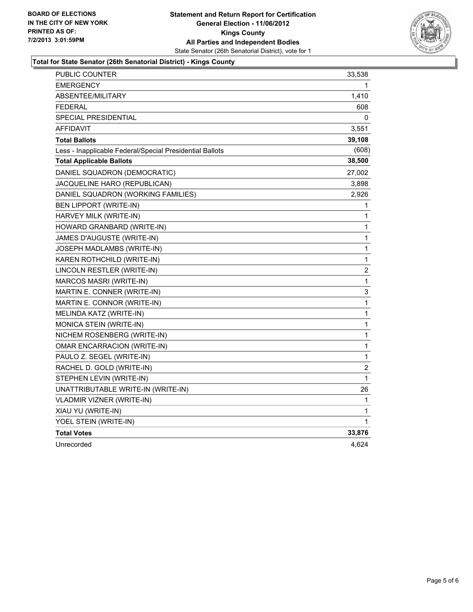

### **Total for State Senator (26th Senatorial District) - Kings County**

| PUBLIC COUNTER                                           | 33,538                  |
|----------------------------------------------------------|-------------------------|
| <b>EMERGENCY</b>                                         | 1                       |
| <b>ABSENTEE/MILITARY</b>                                 | 1,410                   |
| <b>FEDERAL</b>                                           | 608                     |
| <b>SPECIAL PRESIDENTIAL</b>                              | 0                       |
| <b>AFFIDAVIT</b>                                         | 3,551                   |
| <b>Total Ballots</b>                                     | 39,108                  |
| Less - Inapplicable Federal/Special Presidential Ballots | (608)                   |
| <b>Total Applicable Ballots</b>                          | 38,500                  |
| DANIEL SQUADRON (DEMOCRATIC)                             | 27,002                  |
| JACQUELINE HARO (REPUBLICAN)                             | 3,898                   |
| DANIEL SQUADRON (WORKING FAMILIES)                       | 2,926                   |
| <b>BEN LIPPORT (WRITE-IN)</b>                            | 1                       |
| HARVEY MILK (WRITE-IN)                                   | 1                       |
| HOWARD GRANBARD (WRITE-IN)                               | 1                       |
| JAMES D'AUGUSTE (WRITE-IN)                               | 1                       |
| JOSEPH MADLAMBS (WRITE-IN)                               | 1                       |
| KAREN ROTHCHILD (WRITE-IN)                               | 1                       |
| LINCOLN RESTLER (WRITE-IN)                               | $\overline{\mathbf{c}}$ |
| MARCOS MASRI (WRITE-IN)                                  | 1                       |
| MARTIN E. CONNER (WRITE-IN)                              | 3                       |
| MARTIN E. CONNOR (WRITE-IN)                              | 1                       |
| MELINDA KATZ (WRITE-IN)                                  | $\mathbf 1$             |
| MONICA STEIN (WRITE-IN)                                  | $\mathbf 1$             |
| NICHEM ROSENBERG (WRITE-IN)                              | $\mathbf 1$             |
| OMAR ENCARRACION (WRITE-IN)                              | 1                       |
| PAULO Z. SEGEL (WRITE-IN)                                | 1                       |
| RACHEL D. GOLD (WRITE-IN)                                | 2                       |
| STEPHEN LEVIN (WRITE-IN)                                 | 1                       |
| UNATTRIBUTABLE WRITE-IN (WRITE-IN)                       | 26                      |
| VLADMIR VIZNER (WRITE-IN)                                | 1                       |
| XIAU YU (WRITE-IN)                                       | 1                       |
| YOEL STEIN (WRITE-IN)                                    | 1                       |
| <b>Total Votes</b>                                       | 33,876                  |
| Unrecorded                                               | 4,624                   |